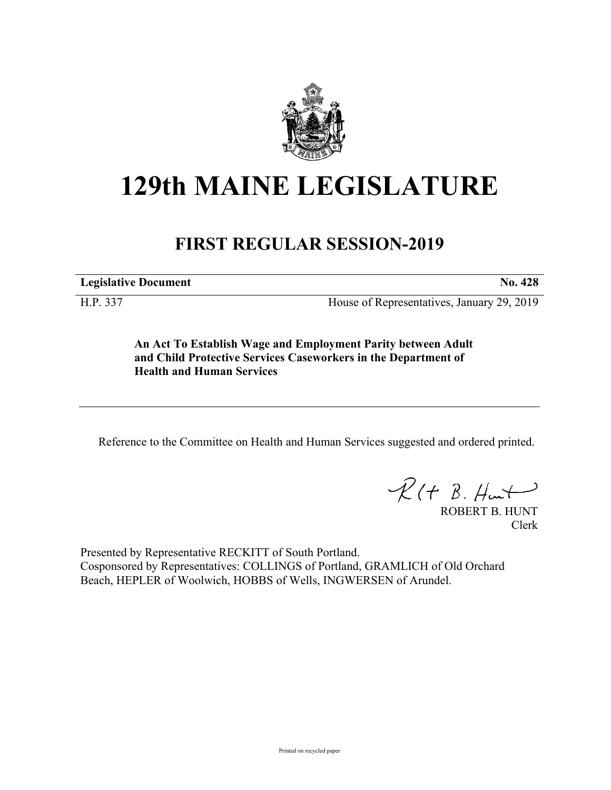

# **129th MAINE LEGISLATURE**

## **FIRST REGULAR SESSION-2019**

**Legislative Document No. 428**

H.P. 337 House of Representatives, January 29, 2019

**An Act To Establish Wage and Employment Parity between Adult and Child Protective Services Caseworkers in the Department of Health and Human Services**

Reference to the Committee on Health and Human Services suggested and ordered printed.

 $R(H B. Hurt)$ 

ROBERT B. HUNT Clerk

Presented by Representative RECKITT of South Portland. Cosponsored by Representatives: COLLINGS of Portland, GRAMLICH of Old Orchard Beach, HEPLER of Woolwich, HOBBS of Wells, INGWERSEN of Arundel.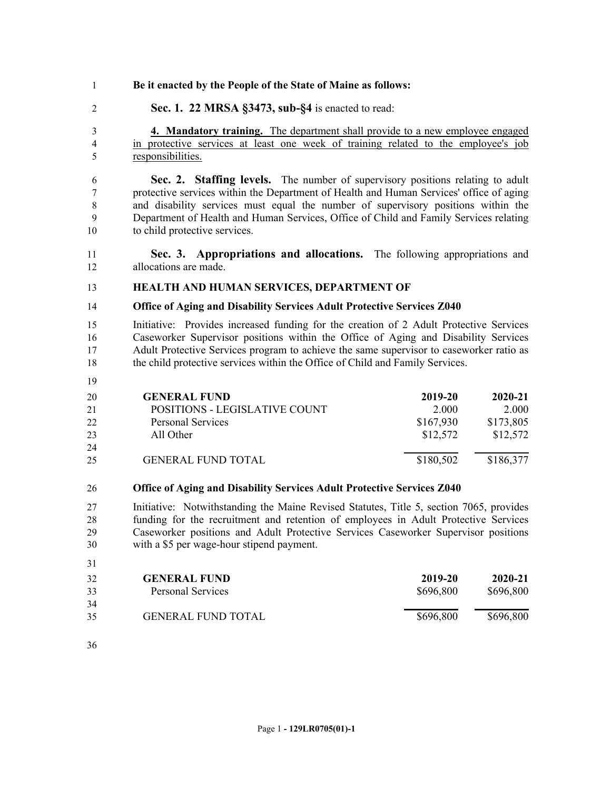- **Be it enacted by the People of the State of Maine as follows:**
- **Sec. 1. 22 MRSA §3473, sub-§4** is enacted to read:

 **4. Mandatory training.** The department shall provide to a new employee engaged in protective services at least one week of training related to the employee's job responsibilities.

 **Sec. 2. Staffing levels.** The number of supervisory positions relating to adult protective services within the Department of Health and Human Services' office of aging and disability services must equal the number of supervisory positions within the Department of Health and Human Services, Office of Child and Family Services relating to child protective services.

- **Sec. 3. Appropriations and allocations.** The following appropriations and allocations are made.
- **HEALTH AND HUMAN SERVICES, DEPARTMENT OF**

#### **Office of Aging and Disability Services Adult Protective Services Z040**

 Initiative: Provides increased funding for the creation of 2 Adult Protective Services Caseworker Supervisor positions within the Office of Aging and Disability Services Adult Protective Services program to achieve the same supervisor to caseworker ratio as the child protective services within the Office of Child and Family Services.

| 20 | <b>GENERAL FUND</b>           | 2019-20   | $2020 - 21$ |
|----|-------------------------------|-----------|-------------|
| 21 | POSITIONS - LEGISLATIVE COUNT | 2.000     | 2.000       |
| 22 | <b>Personal Services</b>      | \$167,930 | \$173,805   |
| 23 | All Other                     | \$12,572  | \$12,572    |
| 24 |                               |           |             |
| 25 | <b>GENERAL FUND TOTAL</b>     | \$180,502 | \$186,377   |
|    |                               |           |             |

### **Office of Aging and Disability Services Adult Protective Services Z040**

 Initiative: Notwithstanding the Maine Revised Statutes, Title 5, section 7065, provides funding for the recruitment and retention of employees in Adult Protective Services Caseworker positions and Adult Protective Services Caseworker Supervisor positions with a \$5 per wage-hour stipend payment.

| <b>GENERAL FUND</b>       | 2019-20   | 2020-21   |
|---------------------------|-----------|-----------|
| Personal Services         | \$696,800 | \$696,800 |
|                           |           |           |
| <b>GENERAL FUND TOTAL</b> | \$696,800 | \$696,800 |
|                           |           |           |